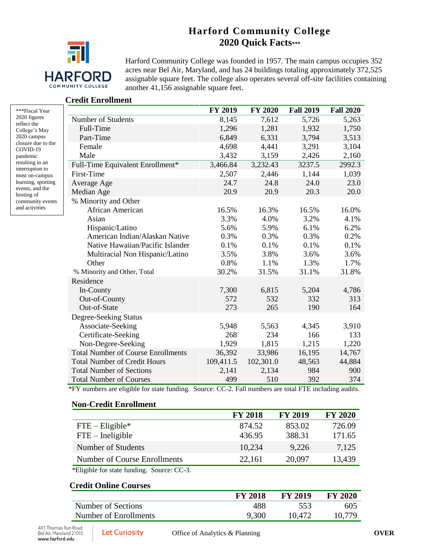# **Harford Community College 2020 Quick Facts\*\*\***



Harford Community College was founded in 1957. The main campus occupies 352 acres near Bel Air, Maryland, and has 24 buildings totaling approximately 372,525 assignable square feet. The college also operates several off-site facilities containing another 41,156 assignable square feet.

#### **Credit Enrollment**

| ***Fiscal Year     |
|--------------------|
| 2020 figures       |
| reflect the        |
| College's May      |
| 2020 campus        |
| closure due to the |
| COVID-19           |
| pandemic           |
| resulting in an    |
| interruption to    |
| most on-campus     |
| learning, sporting |
| events, and the    |
| hosting of         |
| community events   |
| and activities     |

|                                           | <b>FY 2019</b> | <b>FY 2020</b> | <b>Fall 2019</b> | <b>Fall 2020</b> |
|-------------------------------------------|----------------|----------------|------------------|------------------|
| Number of Students                        | 8,145          | 7,612          | 5,726            | 5,263            |
| Full-Time                                 | 1,296          | 1,281          | 1,932            | 1,750            |
| Part-Time                                 | 6,849          | 6,331          | 3,794            | 3,513            |
| Female                                    | 4,698          | 4,441          | 3,291            | 3,104            |
| Male                                      | 3,432          | 3,159          | 2,426            | 2,160            |
| Full-Time Equivalent Enrollment*          | 3,466.84       | 3,232.43       | 3237.5           | 2992.3           |
| First-Time                                | 2,507          | 2,446          | 1,144            | 1,039            |
| Average Age                               | 24.7           | 24.8           | 24.0             | 23.0             |
| Median Age                                | 20.9           | 20.9           | 20.3             | 20.0             |
| % Minority and Other                      |                |                |                  |                  |
| African American                          | 16.5%          | 16.3%          | 16.5%            | 16.0%            |
| Asian                                     | 3.3%           | 4.0%           | 3.2%             | 4.1%             |
| Hispanic/Latino                           | 5.6%           | 5.9%           | 6.1%             | 6.2%             |
| American Indian/Alaskan Native            | 0.3%           | 0.3%           | 0.3%             | 0.2%             |
| Native Hawaiian/Pacific Islander          | 0.1%           | 0.1%           | 0.1%             | 0.1%             |
| Multiracial Non Hispanic/Latino           | 3.5%           | 3.8%           | 3.6%             | 3.6%             |
| Other                                     | 0.8%           | 1.1%           | 1.3%             | 1.7%             |
| % Minority and Other, Total               | 30.2%          | 31.5%          | 31.1%            | 31.8%            |
| Residence                                 |                |                |                  |                  |
| In-County                                 | 7,300          | 6,815          | 5,204            | 4,786            |
| Out-of-County                             | 572            | 532            | 332              | 313              |
| Out-of-State                              | 273            | 265            | 190              | 164              |
| Degree-Seeking Status                     |                |                |                  |                  |
| Associate-Seeking                         | 5,948          | 5,563          | 4,345            | 3,910            |
| Certificate-Seeking                       | 268            | 234            | 166              | 133              |
| Non-Degree-Seeking                        | 1,929          | 1,815          | 1,215            | 1,220            |
| <b>Total Number of Course Enrollments</b> | 36,392         | 33,986         | 16,195           | 14,767           |
| <b>Total Number of Credit Hours</b>       | 109,411.5      | 102,301.0      | 48,563           | 44,884           |
| <b>Total Number of Sections</b>           | 2,141          | 2,134          | 984              | 900              |
| <b>Total Number of Courses</b>            | 499            | 510            | 392              | 374              |

\*FY numbers are eligible for state funding. Source: CC-2. Fall numbers are total FTE including audits.

#### **Non-Credit Enrollment**

|                              | <b>FY 2018</b> | <b>FY 2019</b> | <b>FY 2020</b> |
|------------------------------|----------------|----------------|----------------|
| $FTE - Elizabeth$            | 874.52         | 853.02         | 726.09         |
| $FTE$ – Ineligible           | 436.95         | 388.31         | 171.65         |
| Number of Students           | 10,234         | 9,226          | 7,125          |
| Number of Course Enrollments | 22,161         | 20,097         | 13,439         |
|                              |                |                |                |

\*Eligible for state funding. Source: CC-3.

#### **Credit Online Courses**

|                       | <b>FY 2018</b> | <b>FY 2019</b> | <b>FY 2020</b> |
|-----------------------|----------------|----------------|----------------|
| Number of Sections    | 488            | 553            | 605            |
| Number of Enrollments | 9,300          | 10.472         | 10.779         |